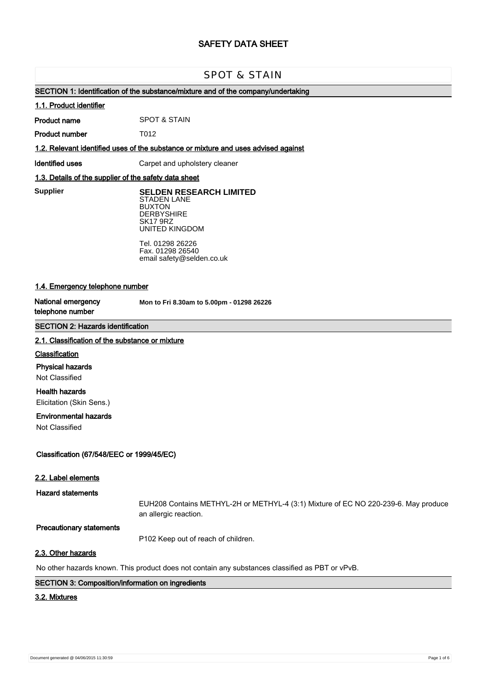# **SAFETY DATA SHEET**

# SPOT & STAIN

# **SECTION 1: Identification of the substance/mixture and of the company/undertaking**

#### **1.1. Product identifier**

**Product name** SPOT & STAIN

**Product number** T012

**1.2. Relevant identified uses of the substance or mixture and uses advised against**

**Identified uses Carpet and upholstery cleaner** 

## **1.3. Details of the supplier of the safety data sheet**

**Supplier** 

**SELDEN RESEARCH LIMITED** STADEN LANE BUXTON **DERBYSHIRE** SK17 9RZ UNITED KINGDOM

Tel. 01298 26226 Fax. 01298 26540 email safety@selden.co.uk

# **1.4. Emergency telephone number**

**National emergency telephone number**

**Mon to Fri 8.30am to 5.00pm - 01298 26226**

# **SECTION 2: Hazards identification**

#### **2.1. Classification of the substance or mixture**

#### **Classification**

**Physical hazards**

Not Classified

**Health hazards**

Elicitation (Skin Sens.)

# **Environmental hazards**

Not Classified

# **Classification (67/548/EEC or 1999/45/EC)**

#### **2.2. Label elements**

**Hazard statements**

EUH208 Contains METHYL-2H or METHYL-4 (3:1) Mixture of EC NO 220-239-6. May produce an allergic reaction.

#### **Precautionary statements**

P102 Keep out of reach of children.

# **2.3. Other hazards**

No other hazards known. This product does not contain any substances classified as PBT or vPvB.

# **SECTION 3: Composition/information on ingredients**

# **3.2. Mixtures**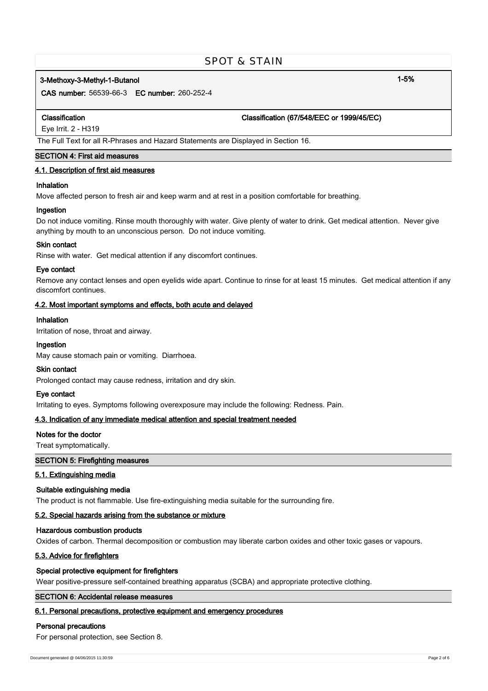# SPOT & STAIN

# **3-Methoxy-3-Methyl-1-Butanol 1-5%**

**CAS number:** 56539-66-3 **EC number:** 260-252-4

#### **Classification Classification (67/548/EEC or 1999/45/EC)**

Eye Irrit. 2 - H319

The Full Text for all R-Phrases and Hazard Statements are Displayed in Section 16.

# **SECTION 4: First aid measures**

## **4.1. Description of first aid measures**

# **Inhalation**

Move affected person to fresh air and keep warm and at rest in a position comfortable for breathing.

#### **Ingestion**

Do not induce vomiting. Rinse mouth thoroughly with water. Give plenty of water to drink. Get medical attention. Never give anything by mouth to an unconscious person. Do not induce vomiting.

#### **Skin contact**

Rinse with water. Get medical attention if any discomfort continues.

#### **Eye contact**

Remove any contact lenses and open eyelids wide apart. Continue to rinse for at least 15 minutes. Get medical attention if any discomfort continues.

## **4.2. Most important symptoms and effects, both acute and delayed**

# **Inhalation**

Irritation of nose, throat and airway.

## **Ingestion**

May cause stomach pain or vomiting. Diarrhoea.

#### **Skin contact**

Prolonged contact may cause redness, irritation and dry skin.

#### **Eye contact**

Irritating to eyes. Symptoms following overexposure may include the following: Redness. Pain.

#### **4.3. Indication of any immediate medical attention and special treatment needed**

#### **Notes for the doctor**

Treat symptomatically.

## **SECTION 5: Firefighting measures**

# **5.1. Extinguishing media**

#### **Suitable extinguishing media**

The product is not flammable. Use fire-extinguishing media suitable for the surrounding fire.

### **5.2. Special hazards arising from the substance or mixture**

## **Hazardous combustion products**

Oxides of carbon. Thermal decomposition or combustion may liberate carbon oxides and other toxic gases or vapours.

# **5.3. Advice for firefighters**

# **Special protective equipment for firefighters**

Wear positive-pressure self-contained breathing apparatus (SCBA) and appropriate protective clothing.

# **SECTION 6: Accidental release measures**

# **6.1. Personal precautions, protective equipment and emergency procedures**

#### **Personal precautions**

For personal protection, see Section 8.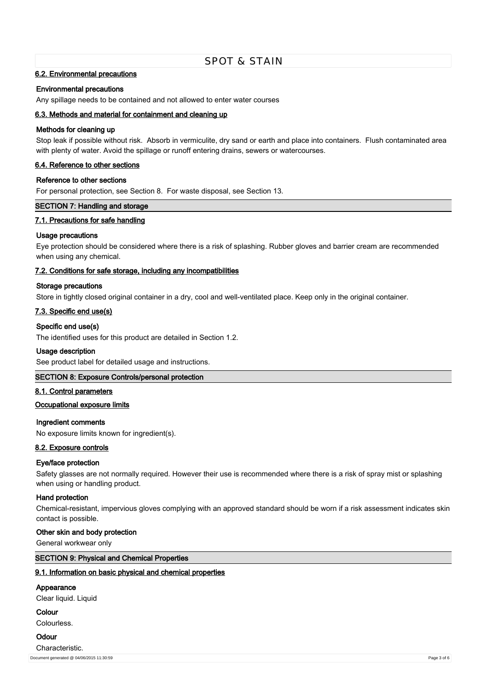# SPOT & STAIN

#### **6.2. Environmental precautions**

#### **Environmental precautions**

Any spillage needs to be contained and not allowed to enter water courses

# **6.3. Methods and material for containment and cleaning up**

#### **Methods for cleaning up**

Stop leak if possible without risk. Absorb in vermiculite, dry sand or earth and place into containers. Flush contaminated area with plenty of water. Avoid the spillage or runoff entering drains, sewers or watercourses.

#### **6.4. Reference to other sections**

#### **Reference to other sections**

For personal protection, see Section 8. For waste disposal, see Section 13.

#### **SECTION 7: Handling and storage**

#### **7.1. Precautions for safe handling**

#### **Usage precautions**

Eye protection should be considered where there is a risk of splashing. Rubber gloves and barrier cream are recommended when using any chemical.

#### **7.2. Conditions for safe storage, including any incompatibilities**

## **Storage precautions**

Store in tightly closed original container in a dry, cool and well-ventilated place. Keep only in the original container.

### **7.3. Specific end use(s)**

#### **Specific end use(s)**

The identified uses for this product are detailed in Section 1.2.

#### **Usage description**

See product label for detailed usage and instructions.

#### **SECTION 8: Exposure Controls/personal protection**

# **8.1. Control parameters**

#### **Occupational exposure limits**

#### **Ingredient comments**

No exposure limits known for ingredient(s).

# **8.2. Exposure controls**

#### **Eye/face protection**

Safety glasses are not normally required. However their use is recommended where there is a risk of spray mist or splashing when using or handling product.

#### **Hand protection**

Chemical-resistant, impervious gloves complying with an approved standard should be worn if a risk assessment indicates skin contact is possible.

#### **Other skin and body protection**

General workwear only

# **SECTION 9: Physical and Chemical Properties**

#### **9.1. Information on basic physical and chemical properties**

# **Appearance**

Clear liquid. Liquid

**Colour**

Colourless.

# **Odour**

Characteristic. Document generated @ 04/06/2015 11:30:59 Page 3 of 6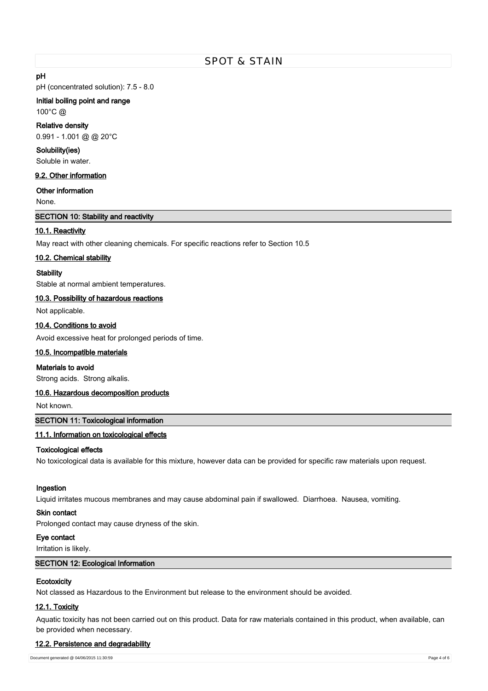# **pH**

pH (concentrated solution): 7.5 - 8.0

# **Initial boiling point and range**

100°C @

# **Relative density**

0.991 - 1.001 @ @ 20°C

# **Solubility(ies)**

Soluble in water.

# **9.2. Other information**

# **Other information**

None.

# **SECTION 10: Stability and reactivity**

# **10.1. Reactivity**

May react with other cleaning chemicals. For specific reactions refer to Section 10.5

## **10.2. Chemical stability**

## **Stability**

Stable at normal ambient temperatures.

#### **10.3. Possibility of hazardous reactions**

Not applicable.

# **10.4. Conditions to avoid**

Avoid excessive heat for prolonged periods of time.

#### **10.5. Incompatible materials**

# **Materials to avoid**

Strong acids. Strong alkalis.

#### **10.6. Hazardous decomposition products**

Not known.

#### **SECTION 11: Toxicological information**

# **11.1. Information on toxicological effects**

#### **Toxicological effects**

No toxicological data is available for this mixture, however data can be provided for specific raw materials upon request.

#### **Ingestion**

Liquid irritates mucous membranes and may cause abdominal pain if swallowed. Diarrhoea. Nausea, vomiting.

#### **Skin contact**

Prolonged contact may cause dryness of the skin.

#### **Eye contact**

Irritation is likely.

# **SECTION 12: Ecological Information**

# **Ecotoxicity**

Not classed as Hazardous to the Environment but release to the environment should be avoided.

# **12.1. Toxicity**

Aquatic toxicity has not been carried out on this product. Data for raw materials contained in this product, when available, can be provided when necessary.

# **12.2. Persistence and degradability**

Document generated @ 04/06/2015 11:30:59 Page 4 of 6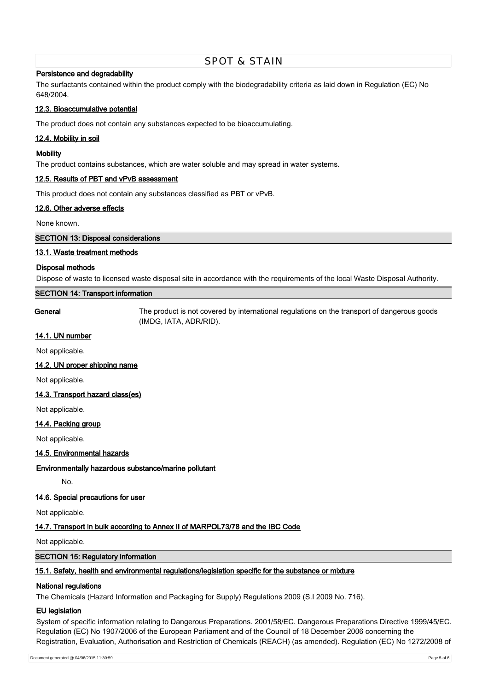#### **Persistence and degradability**

The surfactants contained within the product comply with the biodegradability criteria as laid down in Regulation (EC) No 648/2004.

#### **12.3. Bioaccumulative potential**

The product does not contain any substances expected to be bioaccumulating.

# **12.4. Mobility in soil**

#### **Mobility**

The product contains substances, which are water soluble and may spread in water systems.

# **12.5. Results of PBT and vPvB assessment**

This product does not contain any substances classified as PBT or vPvB.

#### **12.6. Other adverse effects**

None known.

# **SECTION 13: Disposal considerations**

#### **13.1. Waste treatment methods**

#### **Disposal methods**

Dispose of waste to licensed waste disposal site in accordance with the requirements of the local Waste Disposal Authority.

# **SECTION 14: Transport information**

**General** The product is not covered by international regulations on the transport of dangerous goods (IMDG, IATA, ADR/RID).

#### **14.1. UN number**

Not applicable.

### **14.2. UN proper shipping name**

Not applicable.

# **14.3. Transport hazard class(es)**

Not applicable.

#### **14.4. Packing group**

Not applicable.

# **14.5. Environmental hazards**

#### **Environmentally hazardous substance/marine pollutant**

No.

# **14.6. Special precautions for user**

Not applicable.

# **14.7. Transport in bulk according to Annex II of MARPOL73/78 and the IBC Code**

# Not applicable.

**SECTION 15: Regulatory information**

# **15.1. Safety, health and environmental regulations/legislation specific for the substance or mixture**

# **National regulations**

The Chemicals (Hazard Information and Packaging for Supply) Regulations 2009 (S.I 2009 No. 716).

# **EU legislation**

System of specific information relating to Dangerous Preparations. 2001/58/EC. Dangerous Preparations Directive 1999/45/EC. Regulation (EC) No 1907/2006 of the European Parliament and of the Council of 18 December 2006 concerning the Registration, Evaluation, Authorisation and Restriction of Chemicals (REACH) (as amended). Regulation (EC) No 1272/2008 of